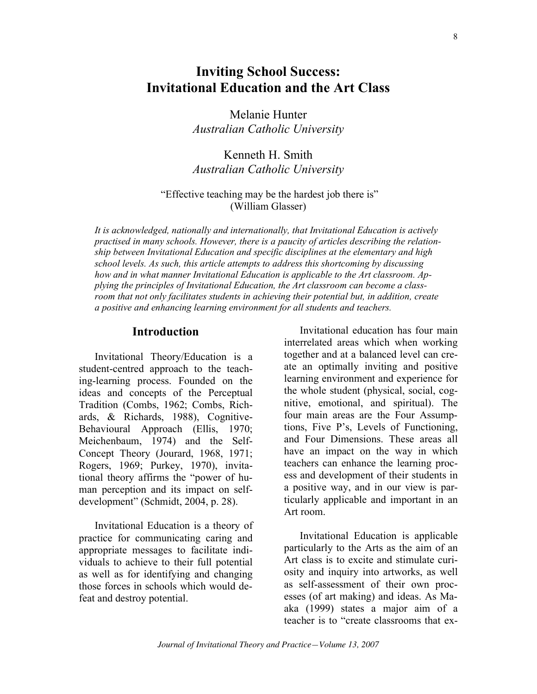# **Inviting School Success: Invitational Education and the Art Class**

Melanie Hunter *Australian Catholic University*

Kenneth H. Smith *Australian Catholic University*

#### "Effective teaching may be the hardest job there is" (William Glasser)

*It is acknowledged, nationally and internationally, that Invitational Education is actively practised in many schools. However, there is a paucity of articles describing the relationship between Invitational Education and specific disciplines at the elementary and high school levels. As such, this article attempts to address this shortcoming by discussing how and in what manner Invitational Education is applicable to the Art classroom. Applying the principles of Invitational Education, the Art classroom can become a classroom that not only facilitates students in achieving their potential but, in addition, create a positive and enhancing learning environment for all students and teachers.*

#### **Introduction**

Invitational Theory/Education is a student-centred approach to the teaching-learning process. Founded on the ideas and concepts of the Perceptual Tradition (Combs, 1962; Combs, Richards, & Richards, 1988), Cognitive-Behavioural Approach (Ellis, 1970; Meichenbaum, 1974) and the Self-Concept Theory (Jourard, 1968, 1971; Rogers, 1969; Purkey, 1970), invitational theory affirms the "power of human perception and its impact on selfdevelopment" (Schmidt, 2004, p. 28).

Invitational Education is a theory of practice for communicating caring and appropriate messages to facilitate individuals to achieve to their full potential as well as for identifying and changing those forces in schools which would defeat and destroy potential.

Invitational education has four main interrelated areas which when working together and at a balanced level can create an optimally inviting and positive learning environment and experience for the whole student (physical, social, cognitive, emotional, and spiritual). The four main areas are the Four Assumptions, Five P's, Levels of Functioning, and Four Dimensions. These areas all have an impact on the way in which teachers can enhance the learning process and development of their students in a positive way, and in our view is particularly applicable and important in an Art room.

Invitational Education is applicable particularly to the Arts as the aim of an Art class is to excite and stimulate curiosity and inquiry into artworks, as well as self-assessment of their own processes (of art making) and ideas. As Maaka (1999) states a major aim of a teacher is to "create classrooms that ex-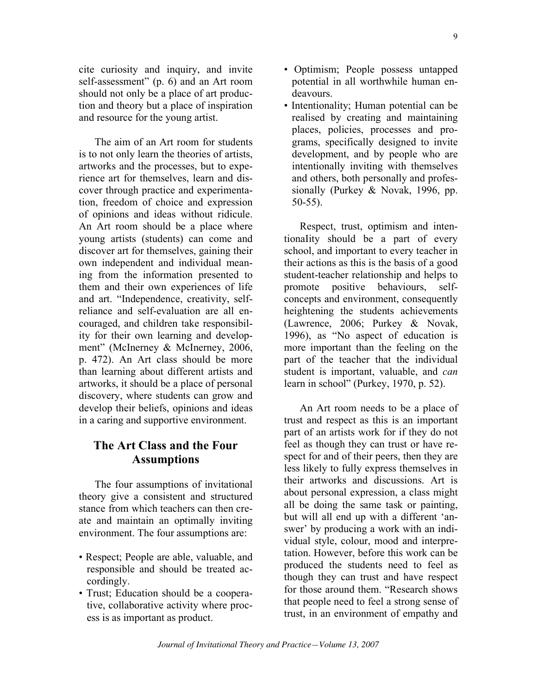9

cite curiosity and inquiry, and invite self-assessment" (p. 6) and an Art room should not only be a place of art production and theory but a place of inspiration and resource for the young artist.

The aim of an Art room for students is to not only learn the theories of artists, artworks and the processes, but to experience art for themselves, learn and discover through practice and experimentation, freedom of choice and expression of opinions and ideas without ridicule. An Art room should be a place where young artists (students) can come and discover art for themselves, gaining their own independent and individual meaning from the information presented to them and their own experiences of life and art. "Independence, creativity, selfreliance and self-evaluation are all encouraged, and children take responsibility for their own learning and development" (McInerney & McInerney, 2006, p. 472). An Art class should be more than learning about different artists and artworks, it should be a place of personal discovery, where students can grow and develop their beliefs, opinions and ideas in a caring and supportive environment.

### **The Art Class and the Four Assumptions**

The four assumptions of invitational theory give a consistent and structured stance from which teachers can then create and maintain an optimally inviting environment. The four assumptions are:

- Respect; People are able, valuable, and responsible and should be treated accordingly.
- Trust; Education should be a cooperative, collaborative activity where process is as important as product.
- Optimism; People possess untapped potential in all worthwhile human endeavours.
- Intentionality; Human potential can be realised by creating and maintaining places, policies, processes and programs, specifically designed to invite development, and by people who are intentionally inviting with themselves and others, both personally and professionally (Purkey & Novak, 1996, pp. 50-55).

Respect, trust, optimism and intentionaIity should be a part of every school, and important to every teacher in their actions as this is the basis of a good student-teacher relationship and helps to promote positive behaviours, selfconcepts and environment, consequently heightening the students achievements (Lawrence, 2006; Purkey & Novak, 1996), as "No aspect of education is more important than the feeling on the part of the teacher that the individual student is important, valuable, and *can* learn in school" (Purkey, 1970, p. 52).

An Art room needs to be a place of trust and respect as this is an important part of an artists work for if they do not feel as though they can trust or have respect for and of their peers, then they are less likely to fully express themselves in their artworks and discussions. Art is about personal expression, a class might all be doing the same task or painting, but will all end up with a different 'answer' by producing a work with an individual style, colour, mood and interpretation. However, before this work can be produced the students need to feel as though they can trust and have respect for those around them. "Research shows that people need to feel a strong sense of trust, in an environment of empathy and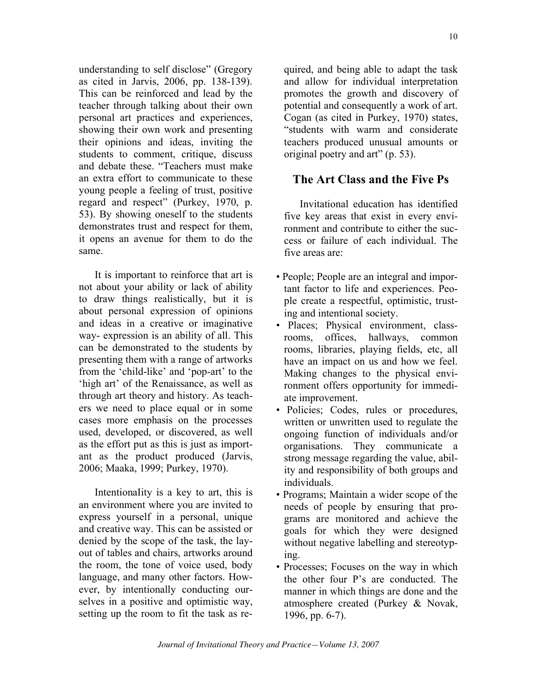understanding to self disclose" (Gregory as cited in Jarvis, 2006, pp. 138-139). This can be reinforced and lead by the teacher through talking about their own personal art practices and experiences, showing their own work and presenting their opinions and ideas, inviting the students to comment, critique, discuss and debate these. "Teachers must make an extra effort to communicate to these young people a feeling of trust, positive regard and respect" (Purkey, 1970, p. 53). By showing oneself to the students demonstrates trust and respect for them, it opens an avenue for them to do the same.

It is important to reinforce that art is not about your ability or lack of ability to draw things realistically, but it is about personal expression of opinions and ideas in a creative or imaginative way- expression is an ability of all. This can be demonstrated to the students by presenting them with a range of artworks from the 'child-like' and 'pop-art' to the 'high art' of the Renaissance, as well as through art theory and history. As teachers we need to place equal or in some cases more emphasis on the processes used, developed, or discovered, as well as the effort put as this is just as important as the product produced (Jarvis, 2006; Maaka, 1999; Purkey, 1970).

IntentionaIity is a key to art, this is an environment where you are invited to express yourself in a personal, unique and creative way. This can be assisted or denied by the scope of the task, the layout of tables and chairs, artworks around the room, the tone of voice used, body language, and many other factors. However, by intentionally conducting ourselves in a positive and optimistic way, setting up the room to fit the task as required, and being able to adapt the task and allow for individual interpretation promotes the growth and discovery of potential and consequently a work of art. Cogan (as cited in Purkey, 1970) states, "students with warm and considerate teachers produced unusual amounts or original poetry and art" (p. 53).

### **The Art Class and the Five Ps**

Invitational education has identified five key areas that exist in every environment and contribute to either the success or failure of each individual. The five areas are:

- People; People are an integral and important factor to life and experiences. People create a respectful, optimistic, trusting and intentional society.
- Places; Physical environment, classrooms, offices, hallways, common rooms, libraries, playing fields, etc, all have an impact on us and how we feel. Making changes to the physical environment offers opportunity for immediate improvement.
- Policies; Codes, rules or procedures, written or unwritten used to regulate the ongoing function of individuals and/or organisations. They communicate a strong message regarding the value, ability and responsibility of both groups and individuals.
- Programs; Maintain a wider scope of the needs of people by ensuring that programs are monitored and achieve the goals for which they were designed without negative labelling and stereotyping.
- Processes: Focuses on the way in which the other four P's are conducted. The manner in which things are done and the atmosphere created (Purkey & Novak, 1996, pp. 6-7).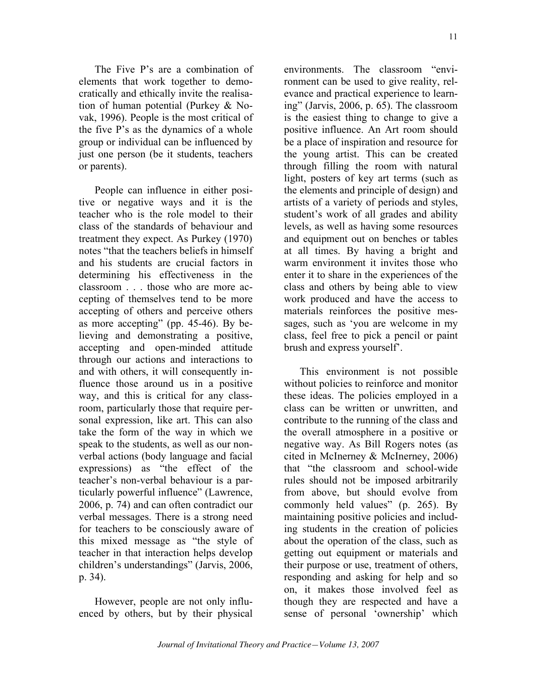The Five P's are a combination of elements that work together to democratically and ethically invite the realisation of human potential (Purkey & Novak, 1996). People is the most critical of the five P's as the dynamics of a whole group or individual can be influenced by just one person (be it students, teachers or parents).

People can influence in either positive or negative ways and it is the teacher who is the role model to their class of the standards of behaviour and treatment they expect. As Purkey (1970) notes "that the teachers beliefs in himself and his students are crucial factors in determining his effectiveness in the classroom . . . those who are more accepting of themselves tend to be more accepting of others and perceive others as more accepting" (pp. 45-46). By believing and demonstrating a positive, accepting and open-minded attitude through our actions and interactions to and with others, it will consequently influence those around us in a positive way, and this is critical for any classroom, particularly those that require personal expression, like art. This can also take the form of the way in which we speak to the students, as well as our nonverbal actions (body language and facial expressions) as "the effect of the teacher's non-verbal behaviour is a particularly powerful influence" (Lawrence, 2006, p. 74) and can often contradict our verbal messages. There is a strong need for teachers to be consciously aware of this mixed message as "the style of teacher in that interaction helps develop children's understandings" (Jarvis, 2006, p. 34).

However, people are not only influenced by others, but by their physical environments. The classroom "environment can be used to give reality, relevance and practical experience to learning" (Jarvis, 2006, p. 65). The classroom is the easiest thing to change to give a positive influence. An Art room should be a place of inspiration and resource for the young artist. This can be created through filling the room with natural light, posters of key art terms (such as the elements and principle of design) and artists of a variety of periods and styles, student's work of all grades and ability levels, as well as having some resources and equipment out on benches or tables at all times. By having a bright and warm environment it invites those who enter it to share in the experiences of the class and others by being able to view work produced and have the access to materials reinforces the positive messages, such as 'you are welcome in my class, feel free to pick a pencil or paint brush and express yourself'.

This environment is not possible without policies to reinforce and monitor these ideas. The policies employed in a class can be written or unwritten, and contribute to the running of the class and the overall atmosphere in a positive or negative way. As Bill Rogers notes (as cited in McInerney & McInerney, 2006) that "the classroom and school-wide rules should not be imposed arbitrarily from above, but should evolve from commonly held values" (p. 265). By maintaining positive policies and including students in the creation of policies about the operation of the class, such as getting out equipment or materials and their purpose or use, treatment of others, responding and asking for help and so on, it makes those involved feel as though they are respected and have a sense of personal 'ownership' which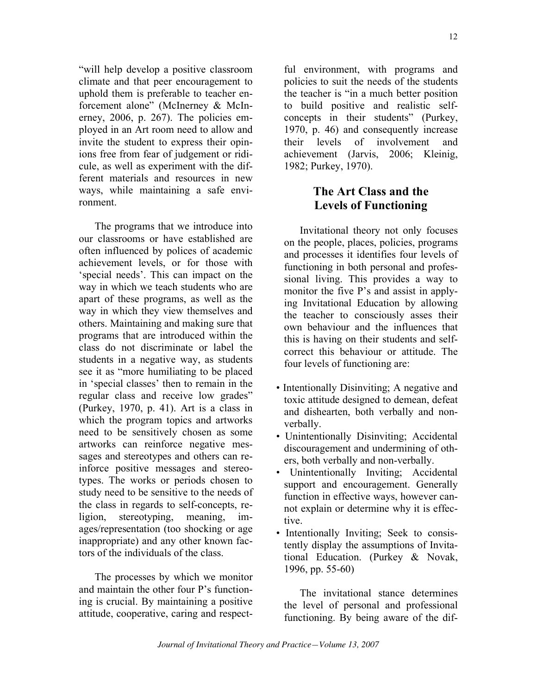"will help develop a positive classroom climate and that peer encouragement to uphold them is preferable to teacher enforcement alone" (McInerney & McInerney, 2006, p. 267). The policies employed in an Art room need to allow and invite the student to express their opinions free from fear of judgement or ridicule, as well as experiment with the different materials and resources in new ways, while maintaining a safe environment.

The programs that we introduce into our classrooms or have established are often influenced by polices of academic achievement levels, or for those with 'special needs'. This can impact on the way in which we teach students who are apart of these programs, as well as the way in which they view themselves and others. Maintaining and making sure that programs that are introduced within the class do not discriminate or label the students in a negative way, as students see it as "more humiliating to be placed in 'special classes' then to remain in the regular class and receive low grades" (Purkey, 1970, p. 41). Art is a class in which the program topics and artworks need to be sensitively chosen as some artworks can reinforce negative messages and stereotypes and others can reinforce positive messages and stereotypes. The works or periods chosen to study need to be sensitive to the needs of the class in regards to self-concepts, religion, stereotyping, meaning, images/representation (too shocking or age inappropriate) and any other known factors of the individuals of the class.

The processes by which we monitor and maintain the other four P's functioning is crucial. By maintaining a positive attitude, cooperative, caring and respectful environment, with programs and policies to suit the needs of the students the teacher is "in a much better position to build positive and realistic selfconcepts in their students" (Purkey, 1970, p. 46) and consequently increase their levels of involvement and achievement (Jarvis, 2006; Kleinig, 1982; Purkey, 1970).

## **The Art Class and the Levels of Functioning**

Invitational theory not only focuses on the people, places, policies, programs and processes it identifies four levels of functioning in both personal and professional living. This provides a way to monitor the five P's and assist in applying Invitational Education by allowing the teacher to consciously asses their own behaviour and the influences that this is having on their students and selfcorrect this behaviour or attitude. The four levels of functioning are:

- Intentionally Disinviting; A negative and toxic attitude designed to demean, defeat and dishearten, both verbally and nonverbally.
- Unintentionally Disinviting; Accidental discouragement and undermining of others, both verbally and non-verbally.
- Unintentionally Inviting; Accidental support and encouragement. Generally function in effective ways, however cannot explain or determine why it is effective.
- Intentionally Inviting; Seek to consistently display the assumptions of Invitational Education. (Purkey & Novak, 1996, pp. 55-60)

The invitational stance determines the level of personal and professional functioning. By being aware of the dif-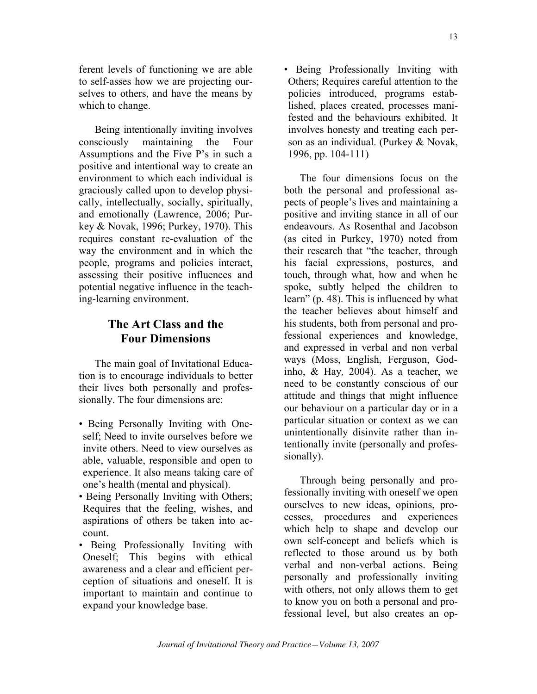ferent levels of functioning we are able to self-asses how we are projecting ourselves to others, and have the means by which to change.

Being intentionally inviting involves consciously maintaining the Four Assumptions and the Five P's in such a positive and intentional way to create an environment to which each individual is graciously called upon to develop physically, intellectually, socially, spiritually, and emotionally (Lawrence, 2006; Purkey & Novak, 1996; Purkey, 1970). This requires constant re-evaluation of the way the environment and in which the people, programs and policies interact, assessing their positive influences and potential negative influence in the teaching-learning environment.

### **The Art Class and the Four Dimensions**

The main goal of Invitational Education is to encourage individuals to better their lives both personally and professionally. The four dimensions are:

- Being Personally Inviting with Oneself; Need to invite ourselves before we invite others. Need to view ourselves as able, valuable, responsible and open to experience. It also means taking care of one's health (mental and physical).
- Being Personally Inviting with Others; Requires that the feeling, wishes, and aspirations of others be taken into account.
- Being Professionally Inviting with Oneself; This begins with ethical awareness and a clear and efficient perception of situations and oneself. It is important to maintain and continue to expand your knowledge base.

• Being Professionally Inviting with Others; Requires careful attention to the policies introduced, programs established, places created, processes manifested and the behaviours exhibited. It involves honesty and treating each person as an individual. (Purkey & Novak, 1996, pp. 104-111)

The four dimensions focus on the both the personal and professional aspects of people's lives and maintaining a positive and inviting stance in all of our endeavours. As Rosenthal and Jacobson (as cited in Purkey, 1970) noted from their research that "the teacher, through his facial expressions, postures, and touch, through what, how and when he spoke, subtly helped the children to learn" (p. 48). This is influenced by what the teacher believes about himself and his students, both from personal and professional experiences and knowledge, and expressed in verbal and non verbal ways (Moss, English, Ferguson, Godinho, & Hay*,* 2004). As a teacher, we need to be constantly conscious of our attitude and things that might influence our behaviour on a particular day or in a particular situation or context as we can unintentionally disinvite rather than intentionally invite (personally and professionally).

Through being personally and professionally inviting with oneself we open ourselves to new ideas, opinions, processes, procedures and experiences which help to shape and develop our own self-concept and beliefs which is reflected to those around us by both verbal and non-verbal actions. Being personally and professionally inviting with others, not only allows them to get to know you on both a personal and professional level, but also creates an op-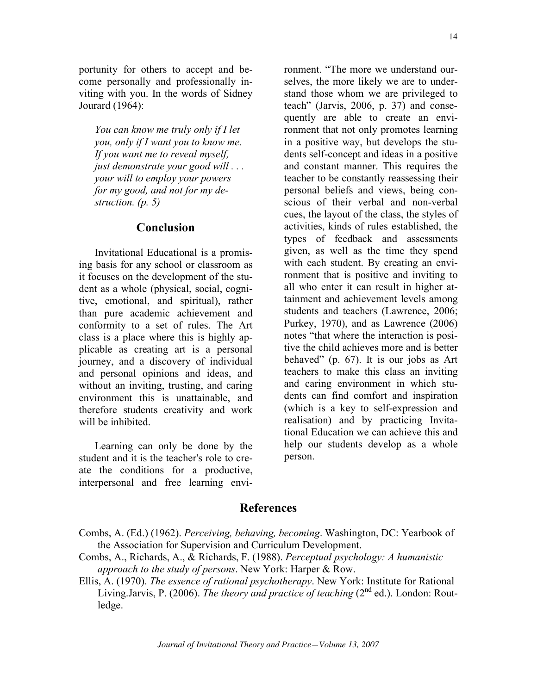14

portunity for others to accept and become personally and professionally inviting with you. In the words of Sidney Jourard (1964):

*You can know me truly only if I let you, only if I want you to know me. If you want me to reveal myself, just demonstrate your good will . . . your will to employ your powers for my good, and not for my destruction. (p. 5)*

#### **Conclusion**

Invitational Educational is a promising basis for any school or classroom as it focuses on the development of the student as a whole (physical, social, cognitive, emotional, and spiritual), rather than pure academic achievement and conformity to a set of rules. The Art class is a place where this is highly applicable as creating art is a personal journey, and a discovery of individual and personal opinions and ideas, and without an inviting, trusting, and caring environment this is unattainable, and therefore students creativity and work will be inhibited.

Learning can only be done by the student and it is the teacher's role to create the conditions for a productive, interpersonal and free learning envi-

ronment. "The more we understand ourselves, the more likely we are to understand those whom we are privileged to teach" (Jarvis, 2006, p. 37) and consequently are able to create an environment that not only promotes learning in a positive way, but develops the students self-concept and ideas in a positive and constant manner. This requires the teacher to be constantly reassessing their personal beliefs and views, being conscious of their verbal and non-verbal cues, the layout of the class, the styles of activities, kinds of rules established, the types of feedback and assessments given, as well as the time they spend with each student. By creating an environment that is positive and inviting to all who enter it can result in higher attainment and achievement levels among students and teachers (Lawrence, 2006; Purkey, 1970), and as Lawrence (2006) notes "that where the interaction is positive the child achieves more and is better behaved" (p. 67). It is our jobs as Art teachers to make this class an inviting and caring environment in which students can find comfort and inspiration (which is a key to self-expression and realisation) and by practicing Invitational Education we can achieve this and help our students develop as a whole person.

### **References**

Combs, A. (Ed.) (1962). *Perceiving, behaving, becoming*. Washington, DC: Yearbook of the Association for Supervision and Curriculum Development.

- Combs, A., Richards, A., & Richards, F. (1988). *Perceptual psychology: A humanistic approach to the study of persons*. New York: Harper & Row.
- Ellis, A. (1970). *The essence of rational psychotherapy*. New York: Institute for Rational Living.Jarvis, P. (2006). *The theory and practice of teaching* (2<sup>nd</sup> ed.). London: Routledge.